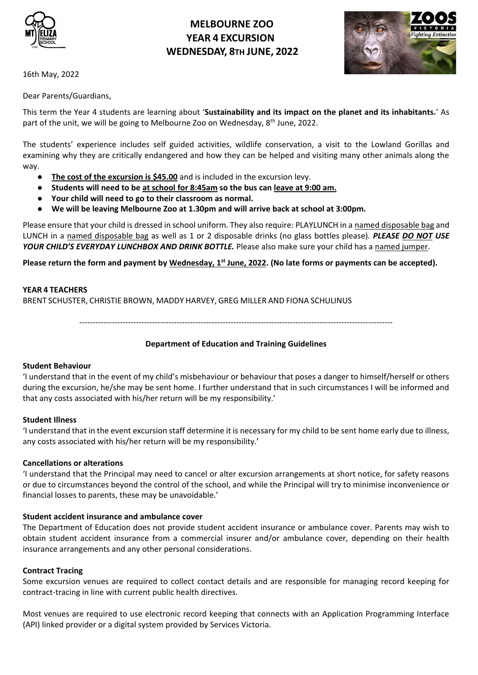

# **MELBOURNE ZOO YEAR 4 EXCURSION WEDNESDAY, 8TH JUNE, 2022**



16th May, 2022

Dear Parents/Guardians,

This term the Year 4 students are learning about '**Sustainability and its impact on the planet and its inhabitants.**' As part of the unit, we will be going to Melbourne Zoo on Wednesday, 8<sup>th</sup> June, 2022.

The students' experience includes self guided activities, wildlife conservation, a visit to the Lowland Gorillas and examining why they are critically endangered and how they can be helped and visiting many other animals along the way.

- **The cost of the excursion is \$45.00** and is included in the excursion levy.
- **Students will need to be at school for 8:45am so the bus can leave at 9:00 am.**
- **Your child will need to go to their classroom as normal.**
- **We will be leaving Melbourne Zoo at 1.30pm and will arrive back at school at 3:00pm.**

Please ensure that your child is dressed in school uniform. They also require: PLAYLUNCH in a named disposable bag and LUNCH in a named disposable bag as well as 1 or 2 disposable drinks (no glass bottles please). *PLEASE DO NOT USE YOUR CHILD'S EVERYDAY LUNCHBOX AND DRINK BOTTLE.* Please also make sure your child has a named jumper.

**Please return the form and payment by Wednesday, 1st June, 2022. (No late forms or payments can be accepted).**

### **YEAR 4 TEACHERS**

BRENT SCHUSTER, CHRISTIE BROWN, MADDY HARVEY, GREG MILLER AND FIONA SCHULINUS

--------------------------------------------------------------------------------------------------------------------

### **Department of Education and Training Guidelines**

### **Student Behaviour**

'I understand that in the event of my child's misbehaviour or behaviour that poses a danger to himself/herself or others during the excursion, he/she may be sent home. I further understand that in such circumstances I will be informed and that any costs associated with his/her return will be my responsibility.'

### **Student Illness**

'I understand that in the event excursion staff determine it is necessary for my child to be sent home early due to illness, any costs associated with his/her return will be my responsibility.'

### **Cancellations or alterations**

'I understand that the Principal may need to cancel or alter excursion arrangements at short notice, for safety reasons or due to circumstances beyond the control of the school, and while the Principal will try to minimise inconvenience or financial losses to parents, these may be unavoidable.'

### **Student accident insurance and ambulance cover**

The Department of Education does not provide student accident insurance or ambulance cover. Parents may wish to obtain student accident insurance from a commercial insurer and/or ambulance cover, depending on their health insurance arrangements and any other personal considerations.

### **Contract Tracing**

Some excursion venues are required to collect contact details and are responsible for managing record keeping for contract-tracing in line with current public health directives.

Most venues are required to use electronic record keeping that connects with an Application Programming Interface (API) linked provider or a digital system provided by Services Victoria.